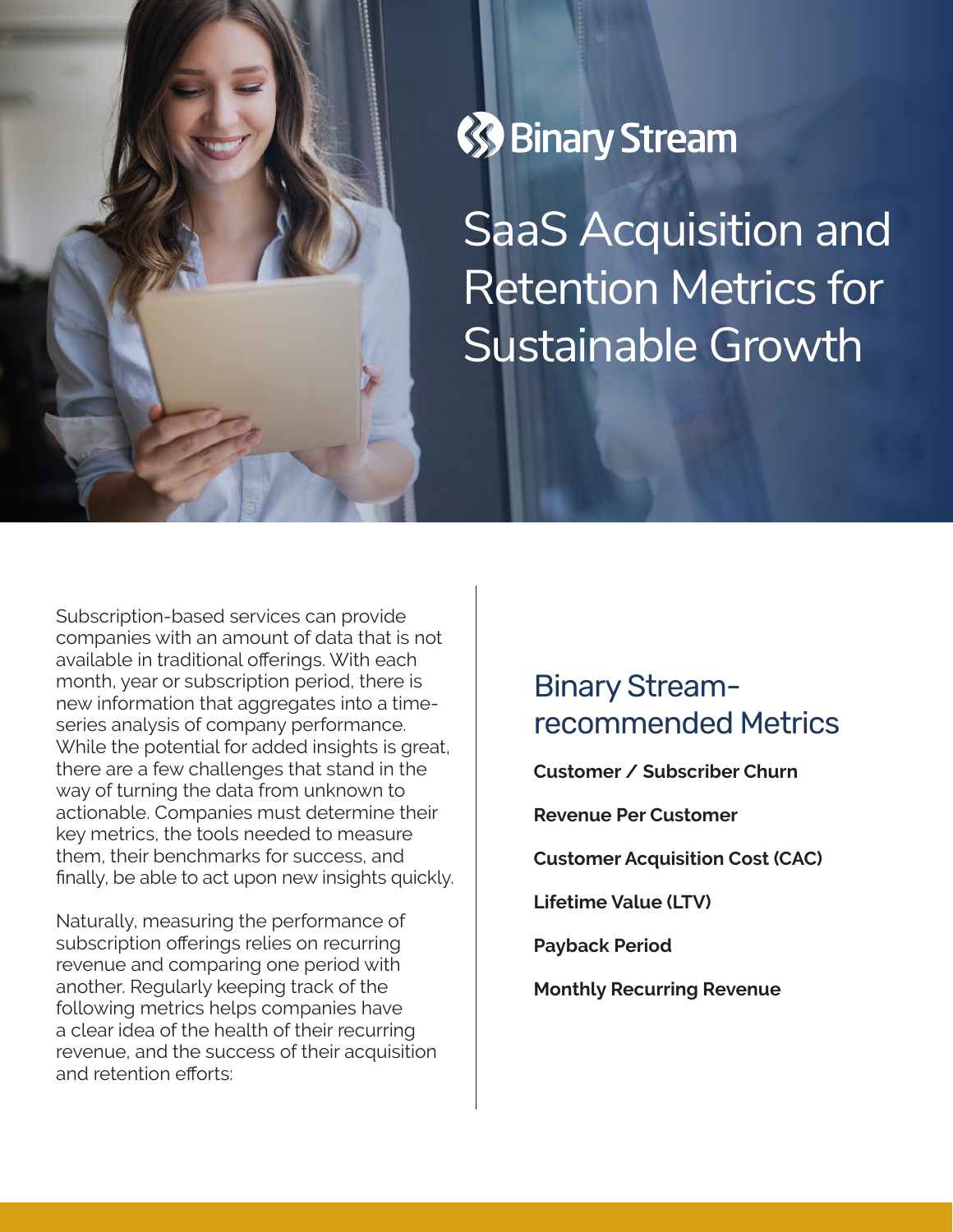



SaaS Acquisition and Retention Metrics for Sustainable Growth

Subscription-based services can provide companies with an amount of data that is not available in traditional offerings. With each month, year or subscription period, there is new information that aggregates into a timeseries analysis of company performance. While the potential for added insights is great, there are a few challenges that stand in the way of turning the data from unknown to actionable. Companies must determine their key metrics, the tools needed to measure them, their benchmarks for success, and finally, be able to act upon new insights quickly.

Naturally, measuring the performance of subscription offerings relies on recurring revenue and comparing one period with another. Regularly keeping track of the following metrics helps companies have a clear idea of the health of their recurring revenue, and the success of their acquisition and retention efforts:

## Binary Streamrecommended Metrics

**Customer / Subscriber Churn**

**Revenue Per Customer**

**Customer Acquisition Cost (CAC)**

**Lifetime Value (LTV)**

**Payback Period**

**Monthly Recurring Revenue**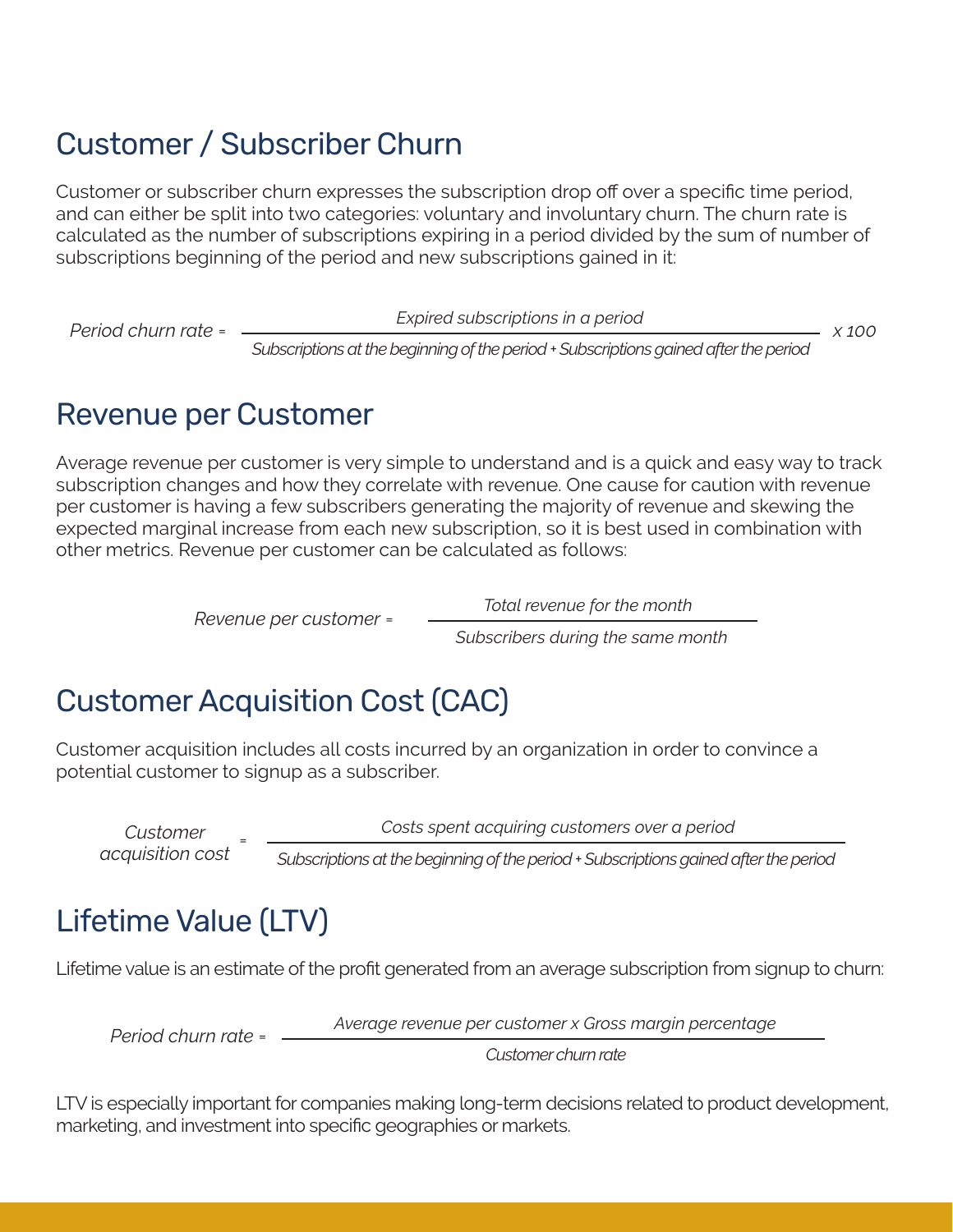## Customer / Subscriber Churn

Customer or subscriber churn expresses the subscription drop off over a specific time period, and can either be split into two categories: voluntary and involuntary churn. The churn rate is calculated as the number of subscriptions expiring in a period divided by the sum of number of subscriptions beginning of the period and new subscriptions gained in it:

*Period churn rate = x 100 Expired subscriptions in a period*

*Subscriptions at the beginning of the period + Subscriptions gained after the period*

### Revenue per Customer

Average revenue per customer is very simple to understand and is a quick and easy way to track subscription changes and how they correlate with revenue. One cause for caution with revenue per customer is having a few subscribers generating the majority of revenue and skewing the expected marginal increase from each new subscription, so it is best used in combination with other metrics. Revenue per customer can be calculated as follows:

*Revenue per customer*<sup>=</sup> *Total revenue for the month*

*Subscribers during the same month*

# Customer Acquisition Cost (CAC)

Customer acquisition includes all costs incurred by an organization in order to convince a potential customer to signup as a subscriber.

*Customer acquisition cost* <sup>=</sup> *Costs spent acquiring customers over a period Subscriptions at the beginning of the period + Subscriptions gained after the period*

# Lifetime Value (LTV)

Lifetime value is an estimate of the profit generated from an average subscription from signup to churn:

*Period churn rate*<sup>=</sup> *Average revenue per customer x Gross margin percentage*

*Customer churn rate*

LTV is especially important for companies making long-term decisions related to product development, marketing, and investment into specific geographies or markets.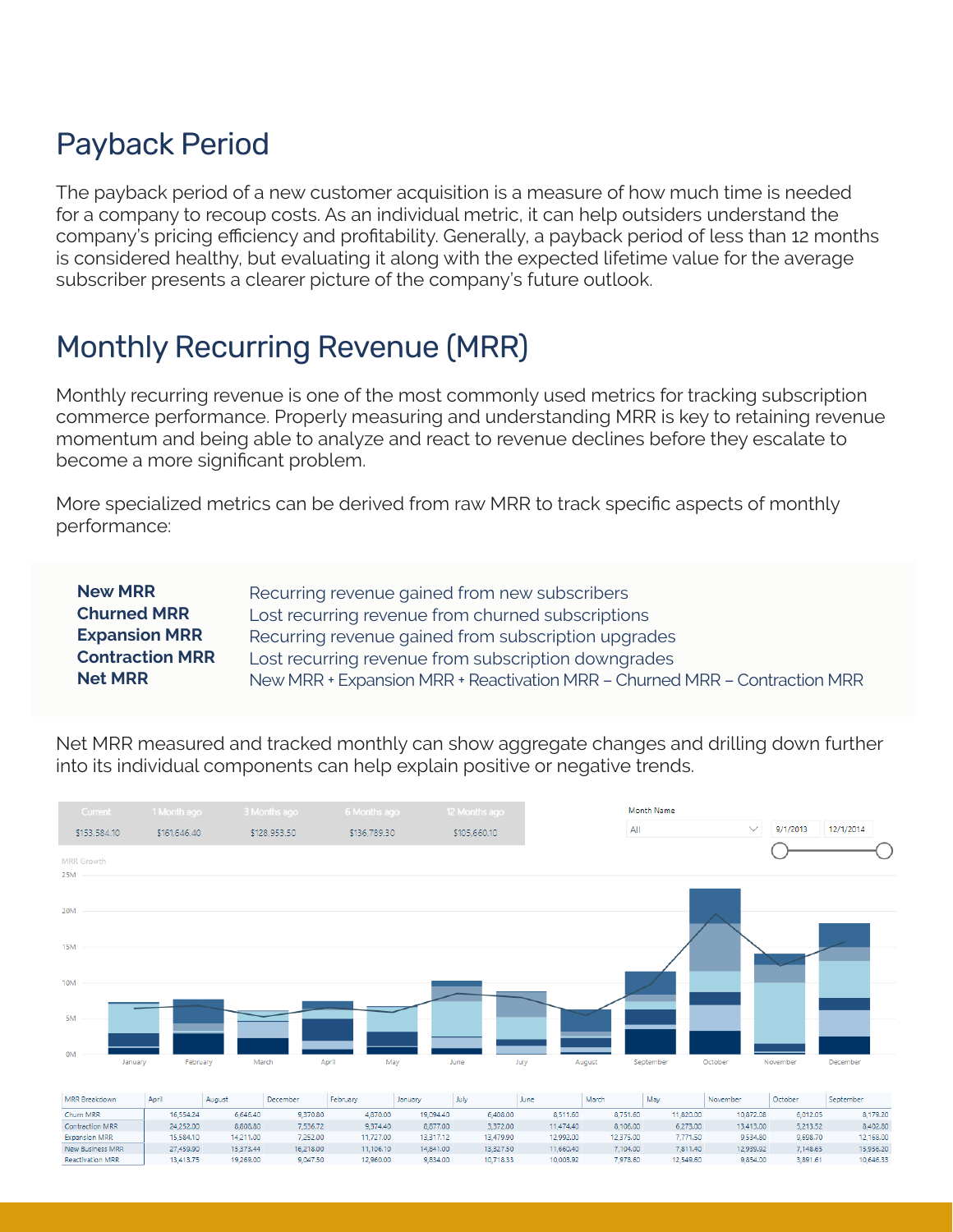## Payback Period

The payback period of a new customer acquisition is a measure of how much time is needed for a company to recoup costs. As an individual metric, it can help outsiders understand the company's pricing efficiency and profitability. Generally, a payback period of less than 12 months is considered healthy, but evaluating it along with the expected lifetime value for the average subscriber presents a clearer picture of the company's future outlook.

## Monthly Recurring Revenue (MRR)

Monthly recurring revenue is one of the most commonly used metrics for tracking subscription commerce performance. Properly measuring and understanding MRR is key to retaining revenue momentum and being able to analyze and react to revenue declines before they escalate to become a more significant problem.

More specialized metrics can be derived from raw MRR to track specific aspects of monthly performance:

| <b>New MRR</b>         | Recurring revenue gained from new subscribers                              |
|------------------------|----------------------------------------------------------------------------|
| <b>Churned MRR</b>     | Lost recurring revenue from churned subscriptions                          |
| <b>Expansion MRR</b>   | Recurring revenue gained from subscription upgrades                        |
| <b>Contraction MRR</b> | Lost recurring revenue from subscription downgrades                        |
| <b>Net MRR</b>         | New MRR + Expansion MRR + Reactivation MRR - Churned MRR - Contraction MRR |

Net MRR measured and tracked monthly can show aggregate changes and drilling down further into its individual components can help explain positive or negative trends.

| Current           | 1 Month ago         | 3 Months ago | 6 Months ago | 12 Months ago | Month Name          | $\checkmark$        |                       |
|-------------------|---------------------|--------------|--------------|---------------|---------------------|---------------------|-----------------------|
| \$153,584.10      | \$161,646.40        | \$128,953.50 | \$136,789.30 | \$105,660.10  | All                 |                     | 9/1/2013<br>12/1/2014 |
| <b>MRR</b> Growth |                     |              |              |               |                     |                     |                       |
| <b>25M</b>        |                     |              |              |               |                     |                     |                       |
| <b>20M</b>        |                     |              |              |               |                     |                     |                       |
| <b>15M</b>        |                     |              |              |               |                     |                     |                       |
| <b>10M</b>        |                     |              |              |               |                     |                     |                       |
| 5M                |                     |              |              |               |                     |                     |                       |
| 0M                | February<br>January | March        | May<br>April | July<br>June  | September<br>August | October<br>November | December              |
|                   |                     |              |              |               |                     |                     |                       |

| <b>MRR Breakdown</b>    | Apri      | August    | December  | February  | January   | July      | June      | March     | Mav       | November  | October  | September |
|-------------------------|-----------|-----------|-----------|-----------|-----------|-----------|-----------|-----------|-----------|-----------|----------|-----------|
| Churn MRR               | 16,554.24 | 6,646,40  | 9.370.80  | 4.870.00  | 19,094,40 | 6,408.00  | 8,511,60  | 8.751.60  | 11,820.00 | 10,872.08 | 6.012.05 | 8.179.20  |
| Contraction MRR         | 24,252.00 | 8,808.80  | 536.72    | 9,374.40  | 8,877,00  | 3,372,00  | 11,474,40 | 8,106.00  | 6,273.00  | 13,413.00 | 5,213.52 | 8,402.80  |
| <b>Expansion MRR</b>    | 15.584.10 | 14.211.00 | 252.00    | 11.727.00 | 13,317.12 | 13,479.90 | 12,992.00 | 12.375.00 | 7.771.50  | 9,534.80  | 9,698.70 | 12,168.00 |
| <b>New Business MRR</b> | 27.459.90 | 15.373.44 | 16.218.00 | 11.106.10 | 14,841,00 | 13.327.50 | 11,660,40 | 7.104.00  | 7.811.40  | 12.939.92 | 7.148.65 | 15,956.20 |
| <b>Reactivation MRR</b> | 13,413.75 | 19,269,00 | 9.047.50  | 12.960.00 | 9.834.00  | 10,718.33 | 10,003.92 | 7.978.60  | 12.549.60 | 9.854.00  | 3.891.61 | 10,646.33 |